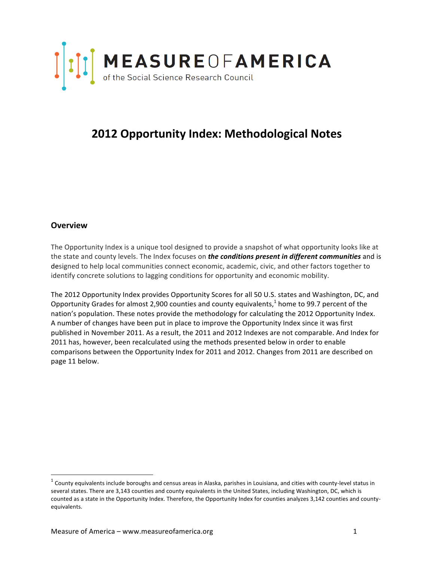

# **2012 Opportunity Index: Methodological Notes**

### **Overview**

The Opportunity Index is a unique tool designed to provide a snapshot of what opportunity looks like at the state and county levels. The Index focuses on *the conditions present in different communities* and is designed to help local communities connect economic, academic, civic, and other factors together to identify concrete solutions to lagging conditions for opportunity and economic mobility.

The 2012 Opportunity Index provides Opportunity Scores for all 50 U.S. states and Washington, DC, and Opportunity Grades for almost 2,900 counties and county equivalents, $<sup>1</sup>$  home to 99.7 percent of the</sup> nation's population. These notes provide the methodology for calculating the 2012 Opportunity Index. A number of changes have been put in place to improve the Opportunity Index since it was first published in November 2011. As a result, the 2011 and 2012 Indexes are not comparable. And Index for 2011 has, however, been recalculated using the methods presented below in order to enable comparisons between the Opportunity Index for 2011 and 2012. Changes from 2011 are described on page 11 below.

<u> 1989 - Jan Samuel Barbara, margaret e</u>

 $1$  County equivalents include boroughs and census areas in Alaska, parishes in Louisiana, and cities with county-level status in several states. There are 3,143 counties and county equivalents in the United States, including Washington, DC, which is counted as a state in the Opportunity Index. Therefore, the Opportunity Index for counties analyzes 3,142 counties and county‐ equivalents.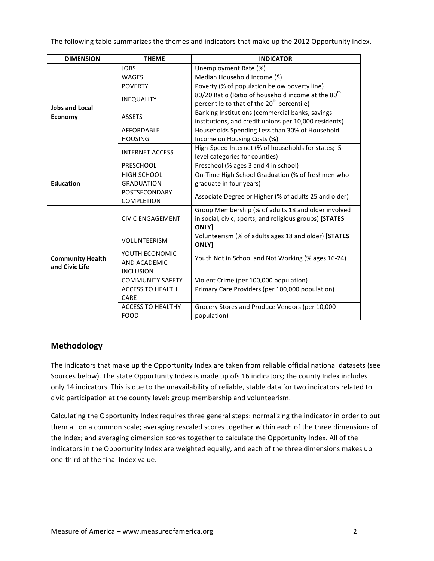The following table summarizes the themes and indicators that make up the 2012 Opportunity Index.

| <b>DIMENSION</b>                          | <b>THEME</b>                              | <b>INDICATOR</b>                                                                                                         |  |
|-------------------------------------------|-------------------------------------------|--------------------------------------------------------------------------------------------------------------------------|--|
|                                           | <b>JOBS</b>                               | Unemployment Rate (%)                                                                                                    |  |
|                                           | <b>WAGES</b>                              | Median Household Income (\$)                                                                                             |  |
| <b>Jobs and Local</b><br><b>Economy</b>   | <b>POVERTY</b>                            | Poverty (% of population below poverty line)                                                                             |  |
|                                           | <b>INEQUALITY</b>                         | 80/20 Ratio (Ratio of household income at the 80 <sup>th</sup><br>percentile to that of the 20 <sup>th</sup> percentile) |  |
|                                           | <b>ASSETS</b>                             | Banking Institutions (commercial banks, savings<br>institutions, and credit unions per 10,000 residents)                 |  |
|                                           | <b>AFFORDABLE</b><br><b>HOUSING</b>       | Households Spending Less than 30% of Household<br>Income on Housing Costs (%)                                            |  |
|                                           | <b>INTERNET ACCESS</b>                    | High-Speed Internet (% of households for states; 5-<br>level categories for counties)                                    |  |
|                                           | PRESCHOOL                                 | Preschool (% ages 3 and 4 in school)                                                                                     |  |
|                                           | <b>HIGH SCHOOL</b>                        | On-Time High School Graduation (% of freshmen who                                                                        |  |
| <b>Education</b>                          | <b>GRADUATION</b>                         | graduate in four years)                                                                                                  |  |
|                                           | <b>POSTSECONDARY</b><br><b>COMPLETION</b> | Associate Degree or Higher (% of adults 25 and older)                                                                    |  |
| <b>Community Health</b><br>and Civic Life |                                           | Group Membership (% of adults 18 and older involved                                                                      |  |
|                                           | <b>CIVIC ENGAGEMENT</b>                   | in social, civic, sports, and religious groups) [STATES<br>ONLY]                                                         |  |
|                                           | <b>VOLUNTEERISM</b>                       | Volunteerism (% of adults ages 18 and older) [STATES<br>ONLY]                                                            |  |
|                                           | YOUTH ECONOMIC<br>AND ACADEMIC            | Youth Not in School and Not Working (% ages 16-24)                                                                       |  |
|                                           | <b>INCLUSION</b>                          |                                                                                                                          |  |
|                                           | <b>COMMUNITY SAFETY</b>                   | Violent Crime (per 100,000 population)                                                                                   |  |
|                                           | ACCESS TO HEALTH<br>CARE                  | Primary Care Providers (per 100,000 population)                                                                          |  |
|                                           | <b>ACCESS TO HEALTHY</b><br><b>FOOD</b>   | Grocery Stores and Produce Vendors (per 10,000<br>population)                                                            |  |

# **Methodology**

The indicators that make up the Opportunity Index are taken from reliable official national datasets (see Sources below). The state Opportunity Index is made up ofs 16 indicators; the county Index includes only 14 indicators. This is due to the unavailability of reliable, stable data for two indicators related to civic participation at the county level: group membership and volunteerism.

Calculating the Opportunity Index requires three general steps: normalizing the indicator in order to put them all on a common scale; averaging rescaled scores together within each of the three dimensions of the Index; and averaging dimension scores together to calculate the Opportunity Index. All of the indicators in the Opportunity Index are weighted equally, and each of the three dimensions makes up one‐third of the final Index value.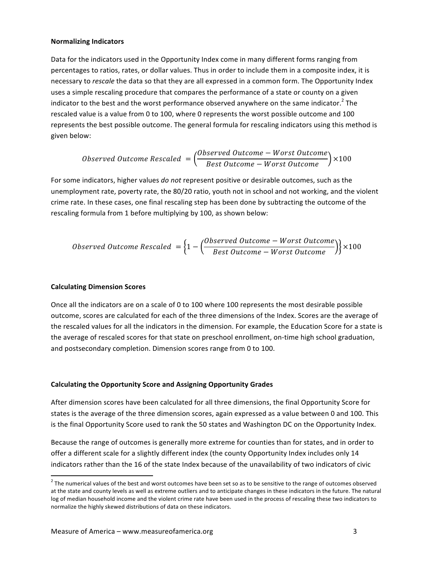### **Normalizing Indicators**

Data for the indicators used in the Opportunity Index come in many different forms ranging from percentages to ratios, rates, or dollar values. Thus in order to include them in a composite index, it is necessary to *rescale* the data so that they are all expressed in a common form. The Opportunity Index uses a simple rescaling procedure that compares the performance of a state or county on a given indicator to the best and the worst performance observed anywhere on the same indicator. $^2$  The rescaled value is a value from 0 to 100, where 0 represents the worst possible outcome and 100 represents the best possible outcome. The general formula for rescaling indicators using this method is given below:

$$
Observed\ Outcome\ Rescaled\ =\ \left(\frac{Observed\ Outcome-Worst\ Outcome}{Best\ Outcome-Worst\ Outcome}\right)\times100
$$

For some indicators, higher values *do not* represent positive or desirable outcomes, such as the unemployment rate, poverty rate, the 80/20 ratio, youth not in school and not working, and the violent crime rate. In these cases, one final rescaling step has been done by subtracting the outcome of the rescaling formula from 1 before multiplying by 100, as shown below:

$$
Observed\ Outcome\ Rescaled\ = \left\{ 1 - \left( \frac{Observed\ Outcome - Worst\ Outcome}{Best\ Outcome - Worst\ Outcome}\right)\right\} \times 100
$$

### **Calculating Dimension Scores**

Once all the indicators are on a scale of 0 to 100 where 100 represents the most desirable possible outcome, scores are calculated for each of the three dimensions of the Index. Scores are the average of the rescaled values for all the indicators in the dimension. For example, the Education Score for a state is the average of rescaled scores for that state on preschool enrollment, on‐time high school graduation, and postsecondary completion. Dimension scores range from 0 to 100.

### **Calculating the Opportunity Score and Assigning Opportunity Grades**

After dimension scores have been calculated for all three dimensions, the final Opportunity Score for states is the average of the three dimension scores, again expressed as a value between 0 and 100. This is the final Opportunity Score used to rank the 50 states and Washington DC on the Opportunity Index.

Because the range of outcomes is generally more extreme for counties than for states, and in order to offer a different scale for a slightly different index (the county Opportunity Index includes only 14 indicators rather than the 16 of the state Index because of the unavailability of two indicators of civic

 $2$  The numerical values of the best and worst outcomes have been set so as to be sensitive to the range of outcomes observed at the state and county levels as well as extreme outliers and to anticipate changes in these indicators in the future. The natural log of median household income and the violent crime rate have been used in the process of rescaling these two indicators to normalize the highly skewed distributions of data on these indicators.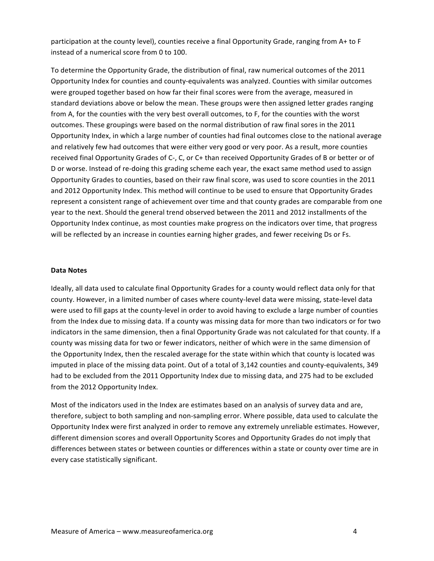participation at the county level), counties receive a final Opportunity Grade, ranging from A+ to F instead of a numerical score from 0 to 100.

To determine the Opportunity Grade, the distribution of final, raw numerical outcomes of the 2011 Opportunity Index for counties and county‐equivalents was analyzed. Counties with similar outcomes were grouped together based on how far their final scores were from the average, measured in standard deviations above or below the mean. These groups were then assigned letter grades ranging from A, for the counties with the very best overall outcomes, to F, for the counties with the worst outcomes. These groupings were based on the normal distribution of raw final sores in the 2011 Opportunity Index, in which a large number of counties had final outcomes close to the national average and relatively few had outcomes that were either very good or very poor. As a result, more counties received final Opportunity Grades of C‐, C, or C+ than received Opportunity Grades of B or better or of D or worse. Instead of re-doing this grading scheme each year, the exact same method used to assign Opportunity Grades to counties, based on their raw final score, was used to score counties in the 2011 and 2012 Opportunity Index. This method will continue to be used to ensure that Opportunity Grades represent a consistent range of achievement over time and that county grades are comparable from one year to the next. Should the general trend observed between the 2011 and 2012 installments of the Opportunity Index continue, as most counties make progress on the indicators over time, that progress will be reflected by an increase in counties earning higher grades, and fewer receiving Ds or Fs.

### **Data Notes**

Ideally, all data used to calculate final Opportunity Grades for a county would reflect data only for that county. However, in a limited number of cases where county‐level data were missing, state‐level data were used to fill gaps at the county-level in order to avoid having to exclude a large number of counties from the Index due to missing data. If a county was missing data for more than two indicators or for two indicators in the same dimension, then a final Opportunity Grade was not calculated for that county. If a county was missing data for two or fewer indicators, neither of which were in the same dimension of the Opportunity Index, then the rescaled average for the state within which that county is located was imputed in place of the missing data point. Out of a total of 3,142 counties and county‐equivalents, 349 had to be excluded from the 2011 Opportunity Index due to missing data, and 275 had to be excluded from the 2012 Opportunity Index.

Most of the indicators used in the Index are estimates based on an analysis of survey data and are, therefore, subject to both sampling and non‐sampling error. Where possible, data used to calculate the Opportunity Index were first analyzed in order to remove any extremely unreliable estimates. However, different dimension scores and overall Opportunity Scores and Opportunity Grades do not imply that differences between states or between counties or differences within a state or county over time are in every case statistically significant.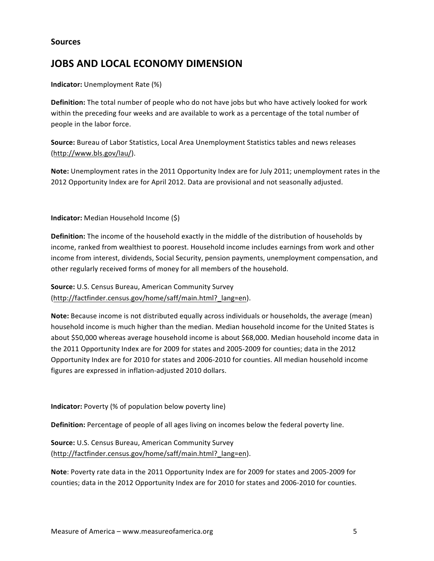### **Sources**

# **JOBS AND LOCAL ECONOMY DIMENSION**

### **Indicator:** Unemployment Rate (%)

**Definition:** The total number of people who do not have jobs but who have actively looked for work within the preceding four weeks and are available to work as a percentage of the total number of people in the labor force.

**Source:** Bureau of Labor Statistics, Local Area Unemployment Statistics tables and news releases (http://www.bls.gov/lau/).

**Note:** Unemployment rates in the 2011 Opportunity Index are for July 2011; unemployment rates in the 2012 Opportunity Index are for April 2012. Data are provisional and not seasonally adjusted.

**Indicator:** Median Household Income (\$)

**Definition:** The income of the household exactly in the middle of the distribution of households by income, ranked from wealthiest to poorest. Household income includes earnings from work and other income from interest, dividends, Social Security, pension payments, unemployment compensation, and other regularly received forms of money for all members of the household.

**Source:** U.S. Census Bureau, American Community Survey (http://factfinder.census.gov/home/saff/main.html?\_lang=en).

**Note:** Because income is not distributed equally across individuals or households, the average (mean) household income is much higher than the median. Median household income for the United States is about \$50,000 whereas average household income is about \$68,000. Median household income data in the 2011 Opportunity Index are for 2009 for states and 2005‐2009 for counties; data in the 2012 Opportunity Index are for 2010 for states and 2006‐2010 for counties. All median household income figures are expressed in inflation‐adjusted 2010 dollars.

**Indicator:** Poverty (% of population below poverty line)

**Definition:** Percentage of people of all ages living on incomes below the federal poverty line.

**Source:** U.S. Census Bureau, American Community Survey (http://factfinder.census.gov/home/saff/main.html?\_lang=en).

**Note**: Poverty rate data in the 2011 Opportunity Index are for 2009 for states and 2005‐2009 for counties; data in the 2012 Opportunity Index are for 2010 for states and 2006‐2010 for counties.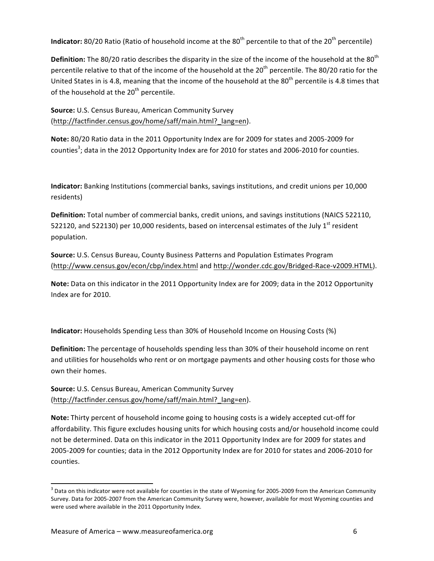**Indicator:** 80/20 Ratio (Ratio of household income at the 80<sup>th</sup> percentile to that of the 20<sup>th</sup> percentile)

**Definition:** The 80/20 ratio describes the disparity in the size of the income of the household at the 80<sup>th</sup> percentile relative to that of the income of the household at the 20<sup>th</sup> percentile. The 80/20 ratio for the United States in is 4.8, meaning that the income of the household at the  $80<sup>th</sup>$  percentile is 4.8 times that of the household at the  $20<sup>th</sup>$  percentile.

**Source:** U.S. Census Bureau, American Community Survey (http://factfinder.census.gov/home/saff/main.html?\_lang=en).

**Note:** 80/20 Ratio data in the 2011 Opportunity Index are for 2009 for states and 2005‐2009 for counties<sup>3</sup>; data in the 2012 Opportunity Index are for 2010 for states and 2006-2010 for counties.

**Indicator:** Banking Institutions (commercial banks, savings institutions, and credit unions per 10,000 residents)

**Definition:** Total number of commercial banks, credit unions, and savings institutions (NAICS 522110, 522120, and 522130) per 10,000 residents, based on intercensal estimates of the July  $1<sup>st</sup>$  resident population.

**Source:** U.S. Census Bureau, County Business Patterns and Population Estimates Program (http://www.census.gov/econ/cbp/index.html and http://wonder.cdc.gov/Bridged‐Race‐v2009.HTML).

**Note:** Data on this indicator in the 2011 Opportunity Index are for 2009; data in the 2012 Opportunity Index are for 2010.

**Indicator:** Households Spending Less than 30% of Household Income on Housing Costs (%)

**Definition:** The percentage of households spending less than 30% of their household income on rent and utilities for households who rent or on mortgage payments and other housing costs for those who own their homes.

**Source:** U.S. Census Bureau, American Community Survey (http://factfinder.census.gov/home/saff/main.html?\_lang=en).

**Note:** Thirty percent of household income going to housing costs is a widely accepted cut‐off for affordability. This figure excludes housing units for which housing costs and/or household income could not be determined. Data on this indicator in the 2011 Opportunity Index are for 2009 for states and 2005‐2009 for counties; data in the 2012 Opportunity Index are for 2010 for states and 2006‐2010 for counties.

 $3$  Data on this indicator were not available for counties in the state of Wyoming for 2005-2009 from the American Community Survey. Data for 2005‐2007 from the American Community Survey were, however, available for most Wyoming counties and were used where available in the 2011 Opportunity Index.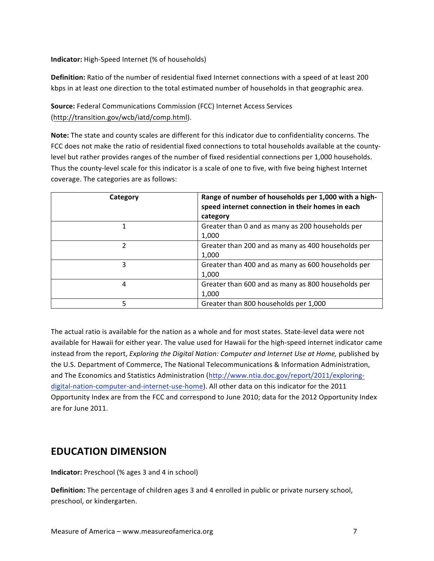**Indicator:** High‐Speed Internet (% of households)

**Definition:** Ratio of the number of residential fixed Internet connections with a speed of at least 200 kbps in at least one direction to the total estimated number of households in that geographic area.

**Source:** Federal Communications Commission (FCC) Internet Access Services (http://transition.gov/wcb/iatd/comp.html).

**Note:** The state and county scales are different for this indicator due to confidentiality concerns. The FCC does not make the ratio of residential fixed connections to total households available at the county‐ level but rather provides ranges of the number of fixed residential connections per 1,000 households. Thus the county‐level scale for this indicator is a scale of one to five, with five being highest Internet coverage. The categories are as follows:

| Category | Range of number of households per 1,000 with a high-<br>speed internet connection in their homes in each<br>category |
|----------|----------------------------------------------------------------------------------------------------------------------|
|          | Greater than 0 and as many as 200 households per<br>1,000                                                            |
| 2        | Greater than 200 and as many as 400 households per<br>1,000                                                          |
| 3        | Greater than 400 and as many as 600 households per<br>1,000                                                          |
| 4        | Greater than 600 and as many as 800 households per<br>1,000                                                          |
| 5        | Greater than 800 households per 1,000                                                                                |

The actual ratio is available for the nation as a whole and for most states. State-level data were not available for Hawaii for either year. The value used for Hawaii for the high‐speed internet indicator came instead from the report, *Exploring the Digital Nation: Computer and Internet Use at Home,* published by the U.S. Department of Commerce, The National Telecommunications & Information Administration, and The Economics and Statistics Administration (http://www.ntia.doc.gov/report/2011/exploringdigital‐nation‐computer‐and‐internet‐use‐home). All other data on this indicator for the 2011 Opportunity Index are from the FCC and correspond to June 2010; data for the 2012 Opportunity Index are for June 2011.

# **EDUCATION DIMENSION**

**Indicator:** Preschool (% ages 3 and 4 in school)

**Definition:** The percentage of children ages 3 and 4 enrolled in public or private nursery school, preschool, or kindergarten.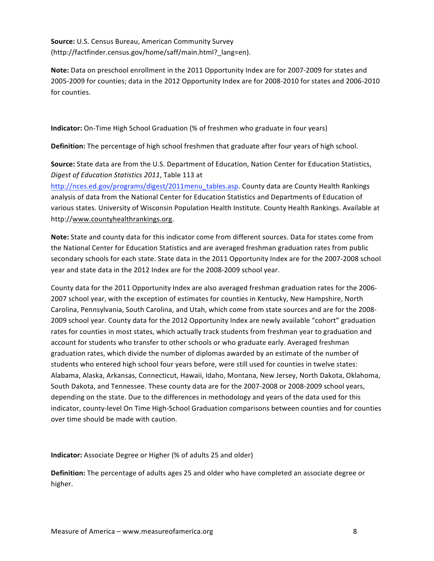**Source:** U.S. Census Bureau, American Community Survey (http://factfinder.census.gov/home/saff/main.html?\_lang=en).

**Note:** Data on preschool enrollment in the 2011 Opportunity Index are for 2007‐2009 for states and 2005‐2009 for counties; data in the 2012 Opportunity Index are for 2008‐2010 for states and 2006‐2010 for counties.

**Indicator:** On‐Time High School Graduation (% of freshmen who graduate in four years)

**Definition:** The percentage of high school freshmen that graduate after four years of high school.

**Source:** State data are from the U.S. Department of Education, Nation Center for Education Statistics, *Digest of Education Statistics 2011*, Table 113 at

http://nces.ed.gov/programs/digest/2011menu\_tables.asp. County data are County Health Rankings analysis of data from the National Center for Education Statistics and Departments of Education of various states. University of Wisconsin Population Health Institute. County Health Rankings. Available at http://www.countyhealthrankings.org.

**Note:** State and county data for this indicator come from different sources. Data for states come from the National Center for Education Statistics and are averaged freshman graduation rates from public secondary schools for each state. State data in the 2011 Opportunity Index are for the 2007‐2008 school year and state data in the 2012 Index are for the 2008‐2009 school year.

County data for the 2011 Opportunity Index are also averaged freshman graduation rates for the 2006‐ 2007 school year, with the exception of estimates for counties in Kentucky, New Hampshire, North Carolina, Pennsylvania, South Carolina, and Utah, which come from state sources and are for the 2008‐ 2009 school year. County data for the 2012 Opportunity Index are newly available "cohort" graduation rates for counties in most states, which actually track students from freshman year to graduation and account for students who transfer to other schools or who graduate early. Averaged freshman graduation rates, which divide the number of diplomas awarded by an estimate of the number of students who entered high school four years before, were still used for counties in twelve states: Alabama, Alaska, Arkansas, Connecticut, Hawaii, Idaho, Montana, New Jersey, North Dakota, Oklahoma, South Dakota, and Tennessee. These county data are for the 2007‐2008 or 2008‐2009 school years, depending on the state. Due to the differences in methodology and years of the data used for this indicator, county‐level On Time High‐School Graduation comparisons between counties and for counties over time should be made with caution.

**Indicator:** Associate Degree or Higher (% of adults 25 and older)

**Definition:** The percentage of adults ages 25 and older who have completed an associate degree or higher.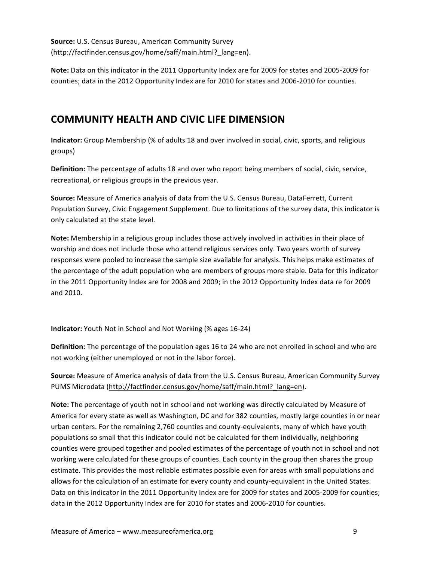**Note:** Data on this indicator in the 2011 Opportunity Index are for 2009 for states and 2005‐2009 for counties; data in the 2012 Opportunity Index are for 2010 for states and 2006‐2010 for counties.

# **COMMUNITY HEALTH AND CIVIC LIFE DIMENSION**

**Indicator:** Group Membership (% of adults 18 and over involved in social, civic, sports, and religious groups)

**Definition:** The percentage of adults 18 and over who report being members of social, civic, service, recreational, or religious groups in the previous year.

**Source:** Measure of America analysis of data from the U.S. Census Bureau, DataFerrett, Current Population Survey, Civic Engagement Supplement. Due to limitations of the survey data, this indicator is only calculated at the state level.

**Note:** Membership in a religious group includes those actively involved in activities in their place of worship and does not include those who attend religious services only. Two years worth of survey responses were pooled to increase the sample size available for analysis. This helps make estimates of the percentage of the adult population who are members of groups more stable. Data for this indicator in the 2011 Opportunity Index are for 2008 and 2009; in the 2012 Opportunity Index data re for 2009 and 2010.

**Indicator:** Youth Not in School and Not Working (% ages 16‐24)

**Definition:** The percentage of the population ages 16 to 24 who are not enrolled in school and who are not working (either unemployed or not in the labor force).

**Source:** Measure of America analysis of data from the U.S. Census Bureau, American Community Survey PUMS Microdata (http://factfinder.census.gov/home/saff/main.html? lang=en).

**Note:** The percentage of youth not in school and not working was directly calculated by Measure of America for every state as well as Washington, DC and for 382 counties, mostly large counties in or near urban centers. For the remaining 2,760 counties and county‐equivalents, many of which have youth populations so small that this indicator could not be calculated for them individually, neighboring counties were grouped together and pooled estimates of the percentage of youth not in school and not working were calculated for these groups of counties. Each county in the group then shares the group estimate. This provides the most reliable estimates possible even for areas with small populations and allows for the calculation of an estimate for every county and county-equivalent in the United States. Data on this indicator in the 2011 Opportunity Index are for 2009 for states and 2005-2009 for counties; data in the 2012 Opportunity Index are for 2010 for states and 2006‐2010 for counties.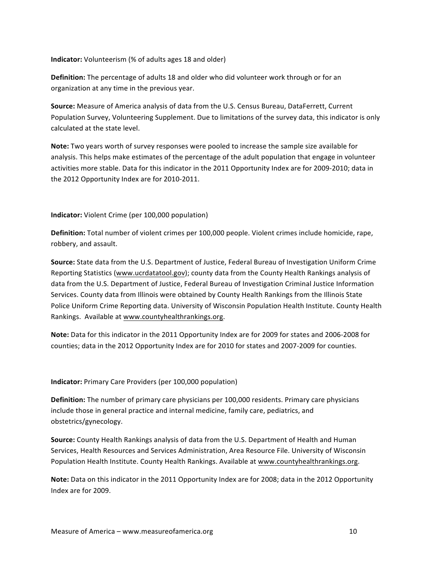**Indicator:** Volunteerism (% of adults ages 18 and older)

**Definition:** The percentage of adults 18 and older who did volunteer work through or for an organization at any time in the previous year.

**Source:** Measure of America analysis of data from the U.S. Census Bureau, DataFerrett, Current Population Survey, Volunteering Supplement. Due to limitations of the survey data, this indicator is only calculated at the state level.

**Note:** Two years worth of survey responses were pooled to increase the sample size available for analysis. This helps make estimates of the percentage of the adult population that engage in volunteer activities more stable. Data for this indicator in the 2011 Opportunity Index are for 2009‐2010; data in the 2012 Opportunity Index are for 2010‐2011.

**Indicator:** Violent Crime (per 100,000 population)

**Definition:** Total number of violent crimes per 100,000 people. Violent crimes include homicide, rape, robbery, and assault.

**Source:** State data from the U.S. Department of Justice, Federal Bureau of Investigation Uniform Crime Reporting Statistics (www.ucrdatatool.gov); county data from the County Health Rankings analysis of data from the U.S. Department of Justice, Federal Bureau of Investigation Criminal Justice Information Services. County data from Illinois were obtained by County Health Rankings from the Illinois State Police Uniform Crime Reporting data. University of Wisconsin Population Health Institute. County Health Rankings. Available at www.countyhealthrankings.org.

**Note:** Data for this indicator in the 2011 Opportunity Index are for 2009 for states and 2006‐2008 for counties; data in the 2012 Opportunity Index are for 2010 for states and 2007‐2009 for counties.

**Indicator:** Primary Care Providers (per 100,000 population)

**Definition:** The number of primary care physicians per 100,000 residents. Primary care physicians include those in general practice and internal medicine, family care, pediatrics, and obstetrics/gynecology.

**Source:** County Health Rankings analysis of data from the U.S. Department of Health and Human Services, Health Resources and Services Administration, Area Resource File. University of Wisconsin Population Health Institute. County Health Rankings. Available at www.countyhealthrankings.org.

**Note:** Data on this indicator in the 2011 Opportunity Index are for 2008; data in the 2012 Opportunity Index are for 2009.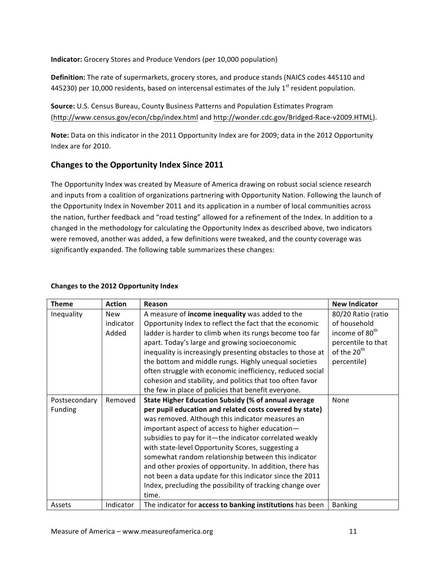**Indicator:** Grocery Stores and Produce Vendors (per 10,000 population)

**Definition:** The rate of supermarkets, grocery stores, and produce stands (NAICS codes 445110 and 445230) per 10,000 residents, based on intercensal estimates of the July  $1<sup>st</sup>$  resident population.

**Source:** U.S. Census Bureau, County Business Patterns and Population Estimates Program (http://www.census.gov/econ/cbp/index.html and http://wonder.cdc.gov/Bridged‐Race‐v2009.HTML).

**Note:** Data on this indicator in the 2011 Opportunity Index are for 2009; data in the 2012 Opportunity Index are for 2010.

# **Changes to the Opportunity Index Since 2011**

The Opportunity Index was created by Measure of America drawing on robust social science research and inputs from a coalition of organizations partnering with Opportunity Nation. Following the launch of the Opportunity Index in November 2011 and its application in a number of local communities across the nation, further feedback and "road testing" allowed for a refinement of the Index. In addition to a changed in the methodology for calculating the Opportunity Index as described above, two indicators were removed, another was added, a few definitions were tweaked, and the county coverage was significantly expanded. The following table summarizes these changes:

| <b>Theme</b>   | <b>Action</b> | Reason                                                      | <b>New Indicator</b>       |
|----------------|---------------|-------------------------------------------------------------|----------------------------|
| Inequality     | <b>New</b>    | A measure of income inequality was added to the             | 80/20 Ratio (ratio         |
|                | indicator     | Opportunity Index to reflect the fact that the economic     | of household               |
|                | Added         | ladder is harder to climb when its rungs become too far     | income of 80 <sup>th</sup> |
|                |               | apart. Today's large and growing socioeconomic              | percentile to that         |
|                |               | inequality is increasingly presenting obstacles to those at | of the 20 <sup>th</sup>    |
|                |               | the bottom and middle rungs. Highly unequal societies       | percentile)                |
|                |               | often struggle with economic inefficiency, reduced social   |                            |
|                |               | cohesion and stability, and politics that too often favor   |                            |
|                |               | the few in place of policies that benefit everyone.         |                            |
| Postsecondary  | Removed       | State Higher Education Subsidy (% of annual average         | None                       |
| <b>Funding</b> |               | per pupil education and related costs covered by state)     |                            |
|                |               | was removed. Although this indicator measures an            |                            |
|                |               | important aspect of access to higher education-             |                            |
|                |               | subsidies to pay for it-the indicator correlated weakly     |                            |
|                |               | with state-level Opportunity Scores, suggesting a           |                            |
|                |               | somewhat random relationship between this indicator         |                            |
|                |               | and other proxies of opportunity. In addition, there has    |                            |
|                |               | not been a data update for this indicator since the 2011    |                            |
|                |               | Index, precluding the possibility of tracking change over   |                            |
|                |               | time.                                                       |                            |
| Assets         | Indicator     | The indicator for access to banking institutions has been   | <b>Banking</b>             |

### **Changes to the 2012 Opportunity Index**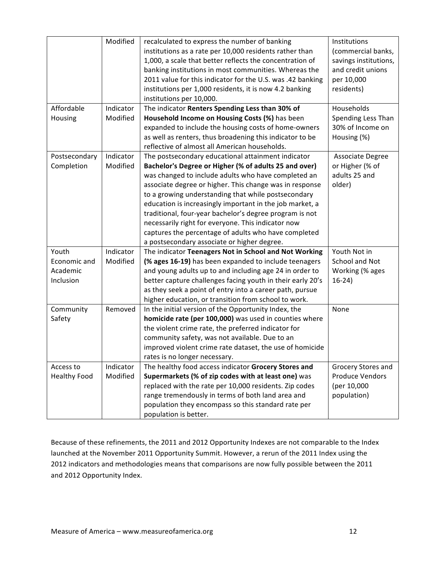|                     | Modified  | recalculated to express the number of banking<br>institutions as a rate per 10,000 residents rather than<br>1,000, a scale that better reflects the concentration of<br>banking institutions in most communities. Whereas the<br>2011 value for this indicator for the U.S. was .42 banking<br>institutions per 1,000 residents, it is now 4.2 banking<br>institutions per 10,000. | Institutions<br>(commercial banks,<br>savings institutions,<br>and credit unions<br>per 10,000<br>residents) |
|---------------------|-----------|------------------------------------------------------------------------------------------------------------------------------------------------------------------------------------------------------------------------------------------------------------------------------------------------------------------------------------------------------------------------------------|--------------------------------------------------------------------------------------------------------------|
| Affordable          | Indicator | The indicator Renters Spending Less than 30% of                                                                                                                                                                                                                                                                                                                                    | Households                                                                                                   |
| Housing             | Modified  | Household Income on Housing Costs (%) has been                                                                                                                                                                                                                                                                                                                                     | Spending Less Than                                                                                           |
|                     |           | expanded to include the housing costs of home-owners                                                                                                                                                                                                                                                                                                                               | 30% of Income on                                                                                             |
|                     |           | as well as renters, thus broadening this indicator to be                                                                                                                                                                                                                                                                                                                           | Housing (%)                                                                                                  |
|                     |           | reflective of almost all American households.                                                                                                                                                                                                                                                                                                                                      |                                                                                                              |
| Postsecondary       | Indicator | The postsecondary educational attainment indicator                                                                                                                                                                                                                                                                                                                                 | Associate Degree                                                                                             |
| Completion          | Modified  | Bachelor's Degree or Higher (% of adults 25 and over)                                                                                                                                                                                                                                                                                                                              | or Higher (% of                                                                                              |
|                     |           | was changed to include adults who have completed an                                                                                                                                                                                                                                                                                                                                | adults 25 and                                                                                                |
|                     |           | associate degree or higher. This change was in response                                                                                                                                                                                                                                                                                                                            | older)                                                                                                       |
|                     |           | to a growing understanding that while postsecondary                                                                                                                                                                                                                                                                                                                                |                                                                                                              |
|                     |           | education is increasingly important in the job market, a                                                                                                                                                                                                                                                                                                                           |                                                                                                              |
|                     |           | traditional, four-year bachelor's degree program is not                                                                                                                                                                                                                                                                                                                            |                                                                                                              |
|                     |           | necessarily right for everyone. This indicator now                                                                                                                                                                                                                                                                                                                                 |                                                                                                              |
|                     |           | captures the percentage of adults who have completed                                                                                                                                                                                                                                                                                                                               |                                                                                                              |
|                     |           | a postsecondary associate or higher degree.                                                                                                                                                                                                                                                                                                                                        |                                                                                                              |
| Youth               | Indicator | The indicator Teenagers Not in School and Not Working                                                                                                                                                                                                                                                                                                                              | Youth Not in                                                                                                 |
| Economic and        | Modified  | (% ages 16-19) has been expanded to include teenagers                                                                                                                                                                                                                                                                                                                              | School and Not                                                                                               |
| Academic            |           | and young adults up to and including age 24 in order to                                                                                                                                                                                                                                                                                                                            | Working (% ages                                                                                              |
| Inclusion           |           | better capture challenges facing youth in their early 20's                                                                                                                                                                                                                                                                                                                         | $16-24)$                                                                                                     |
|                     |           | as they seek a point of entry into a career path, pursue                                                                                                                                                                                                                                                                                                                           |                                                                                                              |
|                     |           | higher education, or transition from school to work.                                                                                                                                                                                                                                                                                                                               |                                                                                                              |
| Community           | Removed   | In the initial version of the Opportunity Index, the                                                                                                                                                                                                                                                                                                                               | None                                                                                                         |
| Safety              |           | homicide rate (per 100,000) was used in counties where                                                                                                                                                                                                                                                                                                                             |                                                                                                              |
|                     |           | the violent crime rate, the preferred indicator for                                                                                                                                                                                                                                                                                                                                |                                                                                                              |
|                     |           | community safety, was not available. Due to an                                                                                                                                                                                                                                                                                                                                     |                                                                                                              |
|                     |           | improved violent crime rate dataset, the use of homicide                                                                                                                                                                                                                                                                                                                           |                                                                                                              |
|                     |           | rates is no longer necessary.                                                                                                                                                                                                                                                                                                                                                      |                                                                                                              |
| Access to           | Indicator | The healthy food access indicator Grocery Stores and                                                                                                                                                                                                                                                                                                                               | Grocery Stores and<br><b>Produce Vendors</b>                                                                 |
| <b>Healthy Food</b> | Modified  | Supermarkets (% of zip codes with at least one) was                                                                                                                                                                                                                                                                                                                                |                                                                                                              |
|                     |           | replaced with the rate per 10,000 residents. Zip codes                                                                                                                                                                                                                                                                                                                             | (per 10,000<br>population)                                                                                   |
|                     |           | range tremendously in terms of both land area and                                                                                                                                                                                                                                                                                                                                  |                                                                                                              |
|                     |           | population they encompass so this standard rate per                                                                                                                                                                                                                                                                                                                                |                                                                                                              |
|                     |           | population is better.                                                                                                                                                                                                                                                                                                                                                              |                                                                                                              |

Because of these refinements, the 2011 and 2012 Opportunity Indexes are not comparable to the Index launched at the November 2011 Opportunity Summit. However, a rerun of the 2011 Index using the 2012 indicators and methodologies means that comparisons are now fully possible between the 2011 and 2012 Opportunity Index.